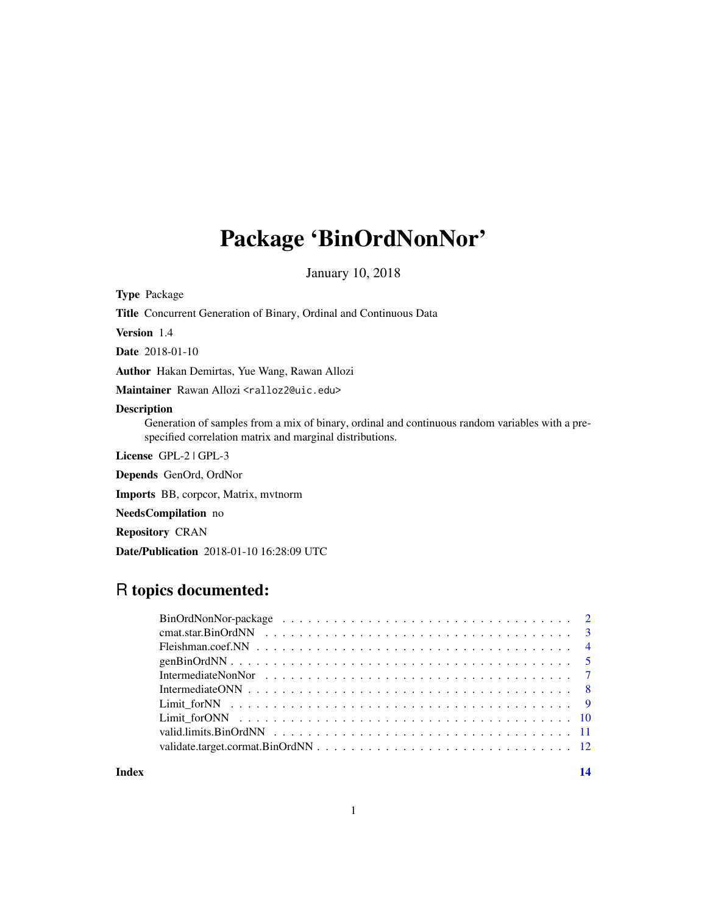# Package 'BinOrdNonNor'

January 10, 2018

Type Package

Title Concurrent Generation of Binary, Ordinal and Continuous Data

Version 1.4

Date 2018-01-10

Author Hakan Demirtas, Yue Wang, Rawan Allozi

Maintainer Rawan Allozi <ralloz2@uic.edu>

# Description

Generation of samples from a mix of binary, ordinal and continuous random variables with a prespecified correlation matrix and marginal distributions.

License GPL-2 | GPL-3

Depends GenOrd, OrdNor

Imports BB, corpcor, Matrix, mvtnorm

NeedsCompilation no

Repository CRAN

Date/Publication 2018-01-10 16:28:09 UTC

# R topics documented:

**Index** 2008 **[14](#page-13-0)**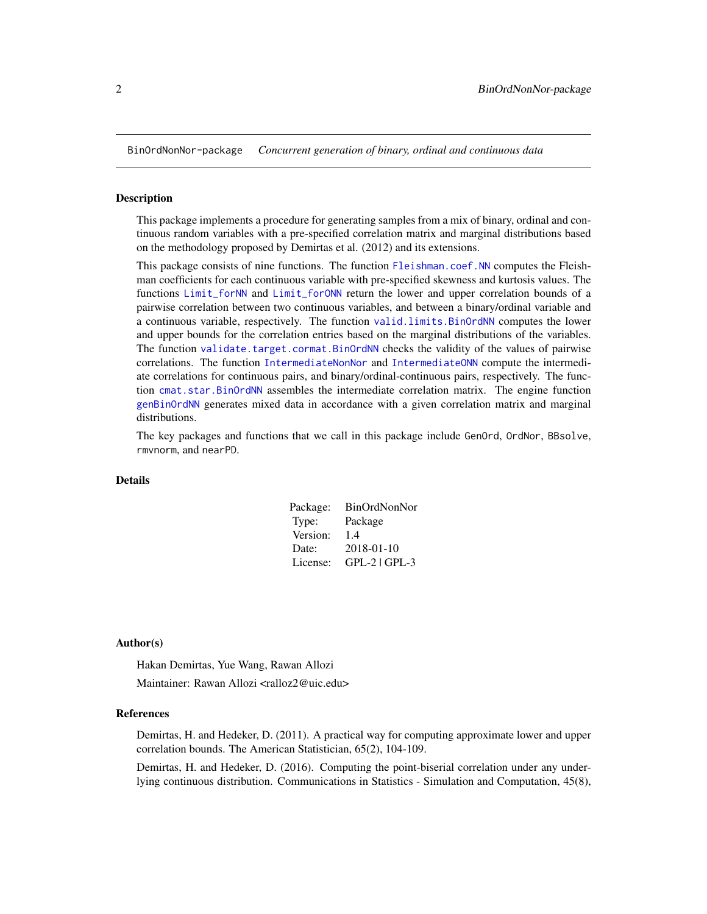<span id="page-1-0"></span>BinOrdNonNor-package *Concurrent generation of binary, ordinal and continuous data*

#### Description

This package implements a procedure for generating samples from a mix of binary, ordinal and continuous random variables with a pre-specified correlation matrix and marginal distributions based on the methodology proposed by Demirtas et al. (2012) and its extensions.

This package consists of nine functions. The function [Fleishman.coef.NN](#page-3-1) computes the Fleishman coefficients for each continuous variable with pre-specified skewness and kurtosis values. The functions [Limit\\_forNN](#page-8-1) and [Limit\\_forONN](#page-9-1) return the lower and upper correlation bounds of a pairwise correlation between two continuous variables, and between a binary/ordinal variable and a continuous variable, respectively. The function [valid.limits.BinOrdNN](#page-10-1) computes the lower and upper bounds for the correlation entries based on the marginal distributions of the variables. The function [validate.target.cormat.BinOrdNN](#page-11-1) checks the validity of the values of pairwise correlations. The function [IntermediateNonNor](#page-6-1) and [IntermediateONN](#page-7-1) compute the intermediate correlations for continuous pairs, and binary/ordinal-continuous pairs, respectively. The function [cmat.star.BinOrdNN](#page-2-1) assembles the intermediate correlation matrix. The engine function [genBinOrdNN](#page-4-1) generates mixed data in accordance with a given correlation matrix and marginal distributions.

The key packages and functions that we call in this package include GenOrd, OrdNor, BBsolve, rmvnorm, and nearPD.

#### Details

| Package: | BinOrdNonNor      |
|----------|-------------------|
| Type:    | Package           |
| Version: | 14                |
| Date:    | 2018-01-10        |
| License: | $GPL-2$   $GPL-3$ |

#### Author(s)

Hakan Demirtas, Yue Wang, Rawan Allozi

Maintainer: Rawan Allozi <ralloz2@uic.edu>

#### References

Demirtas, H. and Hedeker, D. (2011). A practical way for computing approximate lower and upper correlation bounds. The American Statistician, 65(2), 104-109.

Demirtas, H. and Hedeker, D. (2016). Computing the point-biserial correlation under any underlying continuous distribution. Communications in Statistics - Simulation and Computation, 45(8),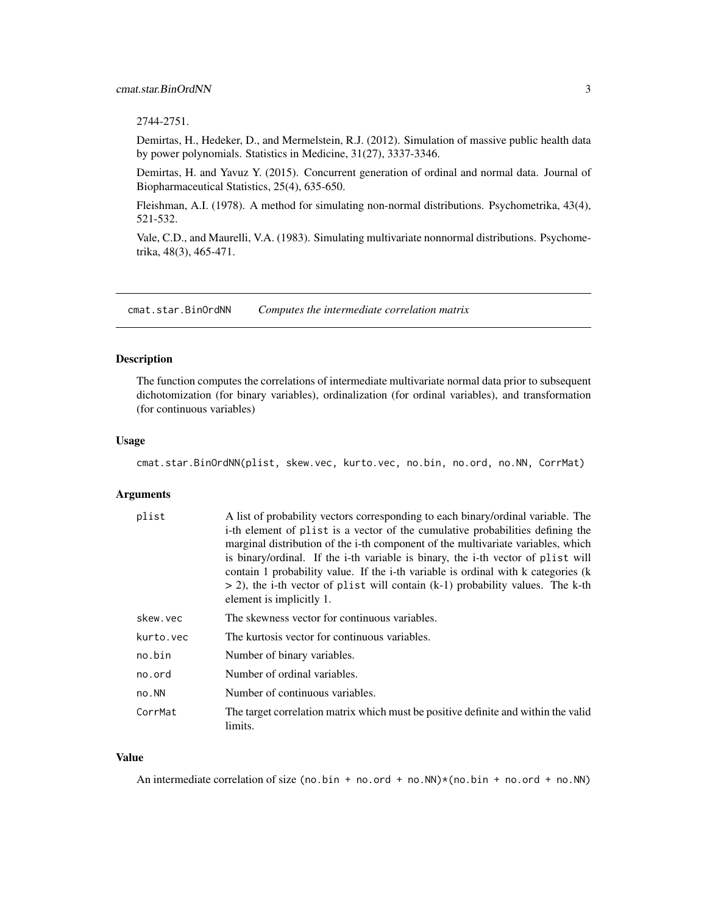# <span id="page-2-0"></span>2744-2751.

Demirtas, H., Hedeker, D., and Mermelstein, R.J. (2012). Simulation of massive public health data by power polynomials. Statistics in Medicine, 31(27), 3337-3346.

Demirtas, H. and Yavuz Y. (2015). Concurrent generation of ordinal and normal data. Journal of Biopharmaceutical Statistics, 25(4), 635-650.

Fleishman, A.I. (1978). A method for simulating non-normal distributions. Psychometrika, 43(4), 521-532.

Vale, C.D., and Maurelli, V.A. (1983). Simulating multivariate nonnormal distributions. Psychometrika, 48(3), 465-471.

<span id="page-2-1"></span>cmat.star.BinOrdNN *Computes the intermediate correlation matrix*

#### Description

The function computes the correlations of intermediate multivariate normal data prior to subsequent dichotomization (for binary variables), ordinalization (for ordinal variables), and transformation (for continuous variables)

#### Usage

cmat.star.BinOrdNN(plist, skew.vec, kurto.vec, no.bin, no.ord, no.NN, CorrMat)

#### Arguments

| plist     | A list of probability vectors corresponding to each binary/ordinal variable. The<br>i-th element of plist is a vector of the cumulative probabilities defining the<br>marginal distribution of the i-th component of the multivariate variables, which<br>is binary/ordinal. If the i-th variable is binary, the i-th vector of plist will<br>contain 1 probability value. If the i-th variable is ordinal with k categories (k<br>$>$ 2), the i-th vector of plist will contain (k-1) probability values. The k-th<br>element is implicitly 1. |
|-----------|-------------------------------------------------------------------------------------------------------------------------------------------------------------------------------------------------------------------------------------------------------------------------------------------------------------------------------------------------------------------------------------------------------------------------------------------------------------------------------------------------------------------------------------------------|
| skew.vec  | The skewness vector for continuous variables.                                                                                                                                                                                                                                                                                                                                                                                                                                                                                                   |
| kurto.vec | The kurtosis vector for continuous variables.                                                                                                                                                                                                                                                                                                                                                                                                                                                                                                   |
| no.bin    | Number of binary variables.                                                                                                                                                                                                                                                                                                                                                                                                                                                                                                                     |
| no.ord    | Number of ordinal variables.                                                                                                                                                                                                                                                                                                                                                                                                                                                                                                                    |
| no.NN     | Number of continuous variables.                                                                                                                                                                                                                                                                                                                                                                                                                                                                                                                 |
| CorrMat   | The target correlation matrix which must be positive definite and within the valid<br>limits.                                                                                                                                                                                                                                                                                                                                                                                                                                                   |

#### Value

An intermediate correlation of size (no.bin + no.ord + no.NN)\*(no.bin + no.ord + no.NN)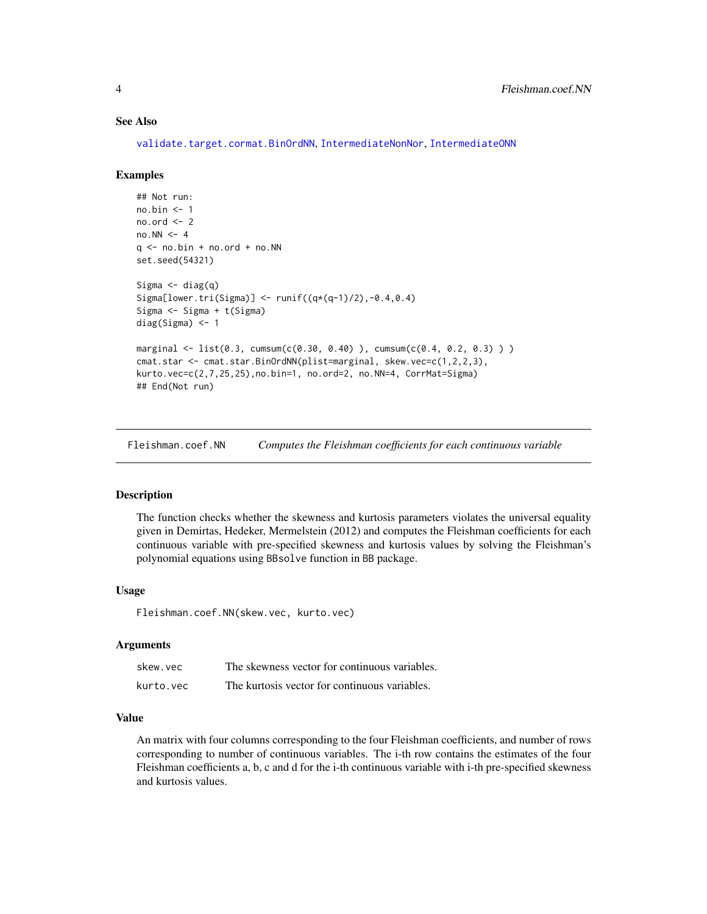# See Also

[validate.target.cormat.BinOrdNN](#page-11-1), [IntermediateNonNor](#page-6-1), [IntermediateONN](#page-7-1)

#### Examples

```
## Not run:
no.bin <- 1
no.ord < -2no.NN < -4q <- no.bin + no.ord + no.NN
set.seed(54321)
Sigma \leftarrow diag(q)
Sigma[lower.tri(Sigma)] < - runif((q*(q-1)/2), -0.4, 0.4)Sigma <- Sigma + t(Sigma)
diag(Sigma) <- 1
marginal <- list(0.3, cumsum(c(0.30, 0.40) ), cumsum(c(0.4, 0.2, 0.3) ) )
cmat.star <- cmat.star.BinOrdNN(plist=marginal, skew.vec=c(1,2,2,3),
kurto.vec=c(2,7,25,25),no.bin=1, no.ord=2, no.NN=4, CorrMat=Sigma)
## End(Not run)
```
<span id="page-3-1"></span>Fleishman.coef.NN *Computes the Fleishman coefficients for each continuous variable*

# Description

The function checks whether the skewness and kurtosis parameters violates the universal equality given in Demirtas, Hedeker, Mermelstein (2012) and computes the Fleishman coefficients for each continuous variable with pre-specified skewness and kurtosis values by solving the Fleishman's polynomial equations using BBsolve function in BB package.

#### Usage

Fleishman.coef.NN(skew.vec, kurto.vec)

# **Arguments**

| skew.vec  | The skewness vector for continuous variables. |
|-----------|-----------------------------------------------|
| kurto.vec | The kurtosis vector for continuous variables. |

#### Value

An matrix with four columns corresponding to the four Fleishman coefficients, and number of rows corresponding to number of continuous variables. The i-th row contains the estimates of the four Fleishman coefficients a, b, c and d for the i-th continuous variable with i-th pre-specified skewness and kurtosis values.

<span id="page-3-0"></span>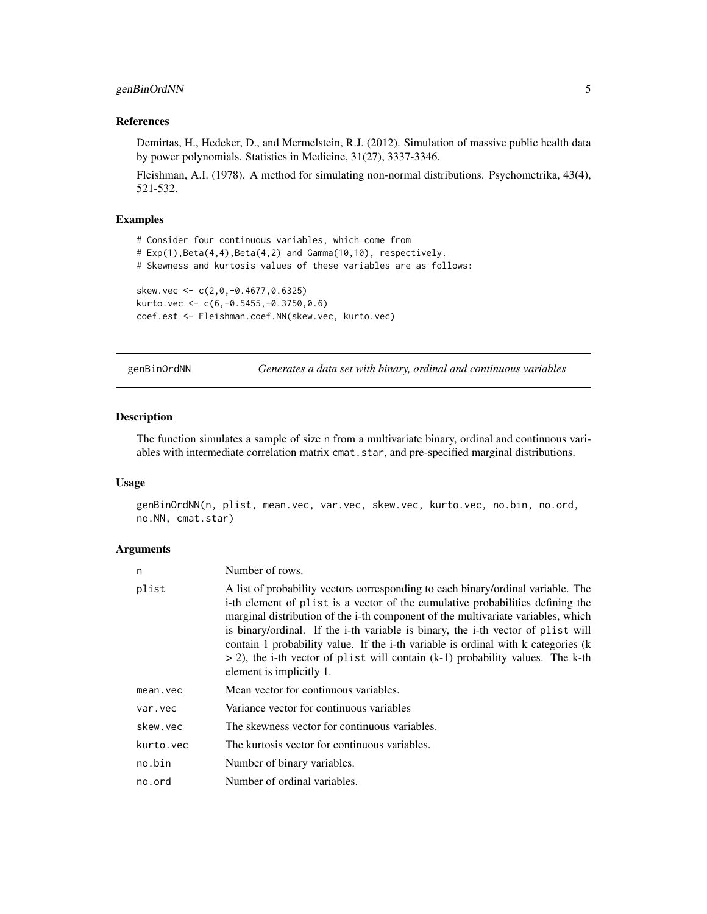# <span id="page-4-0"></span>genBinOrdNN 5

# References

Demirtas, H., Hedeker, D., and Mermelstein, R.J. (2012). Simulation of massive public health data by power polynomials. Statistics in Medicine, 31(27), 3337-3346.

Fleishman, A.I. (1978). A method for simulating non-normal distributions. Psychometrika, 43(4), 521-532.

# Examples

```
# Consider four continuous variables, which come from
# Exp(1),Beta(4,4),Beta(4,2) and Gamma(10,10), respectively.
# Skewness and kurtosis values of these variables are as follows:
skew.vec <- c(2,0,-0.4677,0.6325)
kurto.vec <- c(6,-0.5455,-0.3750,0.6)
coef.est <- Fleishman.coef.NN(skew.vec, kurto.vec)
```
<span id="page-4-1"></span>genBinOrdNN *Generates a data set with binary, ordinal and continuous variables*

#### Description

The function simulates a sample of size n from a multivariate binary, ordinal and continuous variables with intermediate correlation matrix cmat.star, and pre-specified marginal distributions.

#### Usage

```
genBinOrdNN(n, plist, mean.vec, var.vec, skew.vec, kurto.vec, no.bin, no.ord,
no.NN, cmat.star)
```
#### Arguments

| n         | Number of rows.                                                                                                                                                                                                                                                                                                                                                                                                                                                                                                                                 |
|-----------|-------------------------------------------------------------------------------------------------------------------------------------------------------------------------------------------------------------------------------------------------------------------------------------------------------------------------------------------------------------------------------------------------------------------------------------------------------------------------------------------------------------------------------------------------|
| plist     | A list of probability vectors corresponding to each binary/ordinal variable. The<br>i-th element of plist is a vector of the cumulative probabilities defining the<br>marginal distribution of the i-th component of the multivariate variables, which<br>is binary/ordinal. If the i-th variable is binary, the i-th vector of plist will<br>contain 1 probability value. If the i-th variable is ordinal with k categories (k<br>$>$ 2), the i-th vector of plist will contain (k-1) probability values. The k-th<br>element is implicitly 1. |
| mean.vec  | Mean vector for continuous variables.                                                                                                                                                                                                                                                                                                                                                                                                                                                                                                           |
| var.vec   | Variance vector for continuous variables                                                                                                                                                                                                                                                                                                                                                                                                                                                                                                        |
| skew.vec  | The skewness vector for continuous variables.                                                                                                                                                                                                                                                                                                                                                                                                                                                                                                   |
| kurto.vec | The kurtosis vector for continuous variables.                                                                                                                                                                                                                                                                                                                                                                                                                                                                                                   |
| no.bin    | Number of binary variables.                                                                                                                                                                                                                                                                                                                                                                                                                                                                                                                     |
| no.ord    | Number of ordinal variables.                                                                                                                                                                                                                                                                                                                                                                                                                                                                                                                    |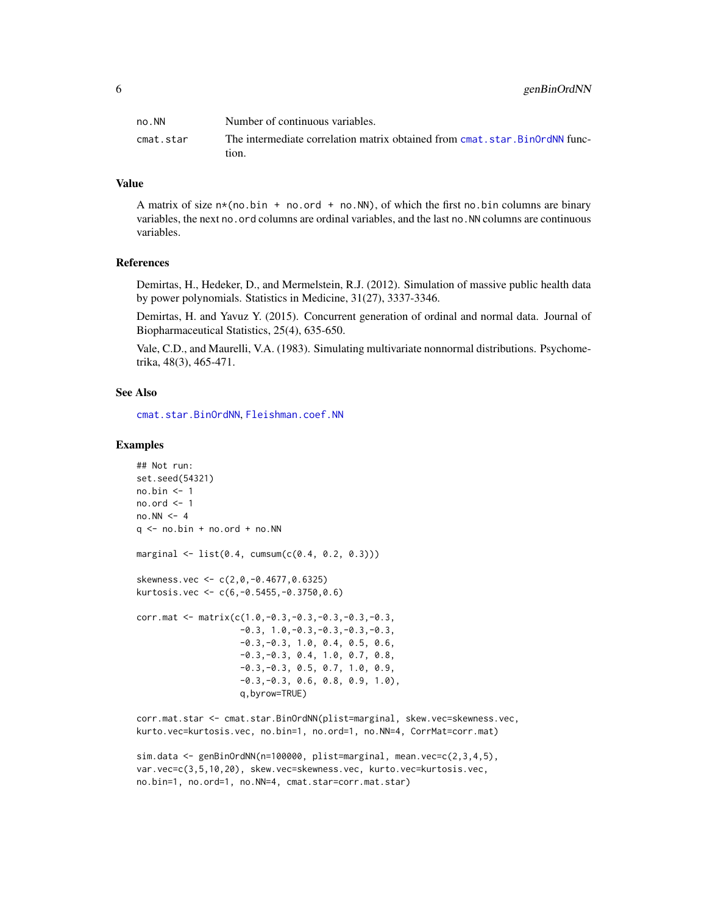<span id="page-5-0"></span>

| no.NN     | Number of continuous variables.                                              |
|-----------|------------------------------------------------------------------------------|
| cmat.star | The intermediate correlation matrix obtained from cmat, star, BinOrdNN func- |
|           | tion.                                                                        |

# Value

A matrix of size  $n*(no.bin + no.ord + no.NN)$ , of which the first no.bin columns are binary variables, the next no. ord columns are ordinal variables, and the last no. NN columns are continuous variables.

# References

Demirtas, H., Hedeker, D., and Mermelstein, R.J. (2012). Simulation of massive public health data by power polynomials. Statistics in Medicine, 31(27), 3337-3346.

Demirtas, H. and Yavuz Y. (2015). Concurrent generation of ordinal and normal data. Journal of Biopharmaceutical Statistics, 25(4), 635-650.

Vale, C.D., and Maurelli, V.A. (1983). Simulating multivariate nonnormal distributions. Psychometrika, 48(3), 465-471.

#### See Also

[cmat.star.BinOrdNN](#page-2-1), [Fleishman.coef.NN](#page-3-1)

#### Examples

```
## Not run:
set.seed(54321)
no.bin <- 1
no.ord < -1no.NN < -4q \le - no.bin + no.ord + no.NN
marginal \leq list(0.4, cumsum(c(0.4, 0.2, 0.3)))skewness.vec <- c(2,0,-0.4677,0.6325)
kurtosis.vec <- c(6,-0.5455,-0.3750,0.6)
corr.mat <- matrix(c(1.0,-0.3,-0.3,-0.3,-0.3,-0.3,
                    -0.3, 1.0, -0.3, -0.3, -0.3, -0.3-0.3,-0.3, 1.0, 0.4, 0.5, 0.6,
                    -0.3, -0.3, 0.4, 1.0, 0.7, 0.8,-0.3,-0.3, 0.5, 0.7, 1.0, 0.9,
                    -0.3,-0.3, 0.6, 0.8, 0.9, 1.0),
                    q,byrow=TRUE)
```
corr.mat.star <- cmat.star.BinOrdNN(plist=marginal, skew.vec=skewness.vec, kurto.vec=kurtosis.vec, no.bin=1, no.ord=1, no.NN=4, CorrMat=corr.mat)

sim.data <- genBinOrdNN(n=100000, plist=marginal, mean.vec=c(2,3,4,5), var.vec=c(3,5,10,20), skew.vec=skewness.vec, kurto.vec=kurtosis.vec, no.bin=1, no.ord=1, no.NN=4, cmat.star=corr.mat.star)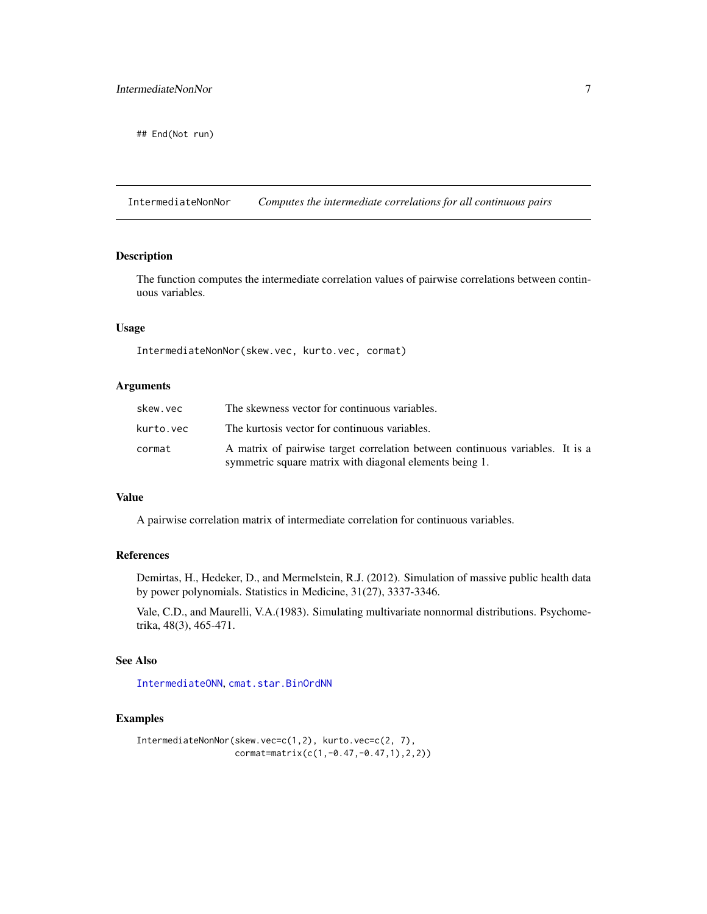<span id="page-6-0"></span>## End(Not run)

<span id="page-6-1"></span>IntermediateNonNor *Computes the intermediate correlations for all continuous pairs*

# Description

The function computes the intermediate correlation values of pairwise correlations between continuous variables.

# Usage

IntermediateNonNor(skew.vec, kurto.vec, cormat)

#### Arguments

| skew.vec  | The skewness vector for continuous variables.                                                                                            |  |
|-----------|------------------------------------------------------------------------------------------------------------------------------------------|--|
| kurto.vec | The kurtosis vector for continuous variables.                                                                                            |  |
| cormat    | A matrix of pairwise target correlation between continuous variables. It is a<br>symmetric square matrix with diagonal elements being 1. |  |

### Value

A pairwise correlation matrix of intermediate correlation for continuous variables.

# References

Demirtas, H., Hedeker, D., and Mermelstein, R.J. (2012). Simulation of massive public health data by power polynomials. Statistics in Medicine, 31(27), 3337-3346.

Vale, C.D., and Maurelli, V.A.(1983). Simulating multivariate nonnormal distributions. Psychometrika, 48(3), 465-471.

# See Also

[IntermediateONN](#page-7-1), [cmat.star.BinOrdNN](#page-2-1)

# Examples

```
IntermediateNonNor(skew.vec=c(1,2), kurto.vec=c(2, 7),
                  cormat=matrix(c(1,-0.47,-0.47,1),2,2))
```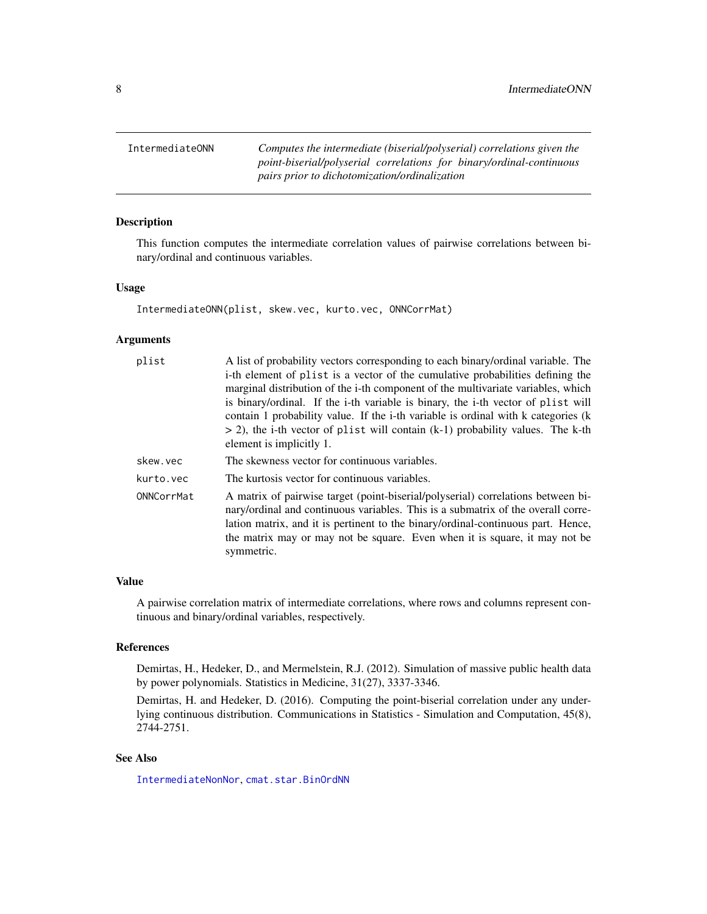<span id="page-7-1"></span><span id="page-7-0"></span>IntermediateONN *Computes the intermediate (biserial/polyserial) correlations given the point-biserial/polyserial correlations for binary/ordinal-continuous pairs prior to dichotomization/ordinalization*

# Description

This function computes the intermediate correlation values of pairwise correlations between binary/ordinal and continuous variables.

#### Usage

IntermediateONN(plist, skew.vec, kurto.vec, ONNCorrMat)

# Arguments

| A list of probability vectors corresponding to each binary/ordinal variable. The                                                                                                                                                                                                                                                                     |
|------------------------------------------------------------------------------------------------------------------------------------------------------------------------------------------------------------------------------------------------------------------------------------------------------------------------------------------------------|
| i-th element of plist is a vector of the cumulative probabilities defining the                                                                                                                                                                                                                                                                       |
| marginal distribution of the i-th component of the multivariate variables, which                                                                                                                                                                                                                                                                     |
| is binary/ordinal. If the i-th variable is binary, the i-th vector of plist will                                                                                                                                                                                                                                                                     |
| contain 1 probability value. If the i-th variable is ordinal with k categories (k                                                                                                                                                                                                                                                                    |
| $>$ 2), the i-th vector of plist will contain (k-1) probability values. The k-th                                                                                                                                                                                                                                                                     |
| element is implicitly 1.                                                                                                                                                                                                                                                                                                                             |
| The skewness vector for continuous variables.                                                                                                                                                                                                                                                                                                        |
| The kurtosis vector for continuous variables.                                                                                                                                                                                                                                                                                                        |
| A matrix of pairwise target (point-biserial/polyserial) correlations between bi-<br>nary/ordinal and continuous variables. This is a submatrix of the overall corre-<br>lation matrix, and it is pertinent to the binary/ordinal-continuous part. Hence,<br>the matrix may or may not be square. Even when it is square, it may not be<br>symmetric. |
|                                                                                                                                                                                                                                                                                                                                                      |

#### Value

A pairwise correlation matrix of intermediate correlations, where rows and columns represent continuous and binary/ordinal variables, respectively.

# References

Demirtas, H., Hedeker, D., and Mermelstein, R.J. (2012). Simulation of massive public health data by power polynomials. Statistics in Medicine, 31(27), 3337-3346.

Demirtas, H. and Hedeker, D. (2016). Computing the point-biserial correlation under any underlying continuous distribution. Communications in Statistics - Simulation and Computation, 45(8), 2744-2751.

# See Also

[IntermediateNonNor](#page-6-1), [cmat.star.BinOrdNN](#page-2-1)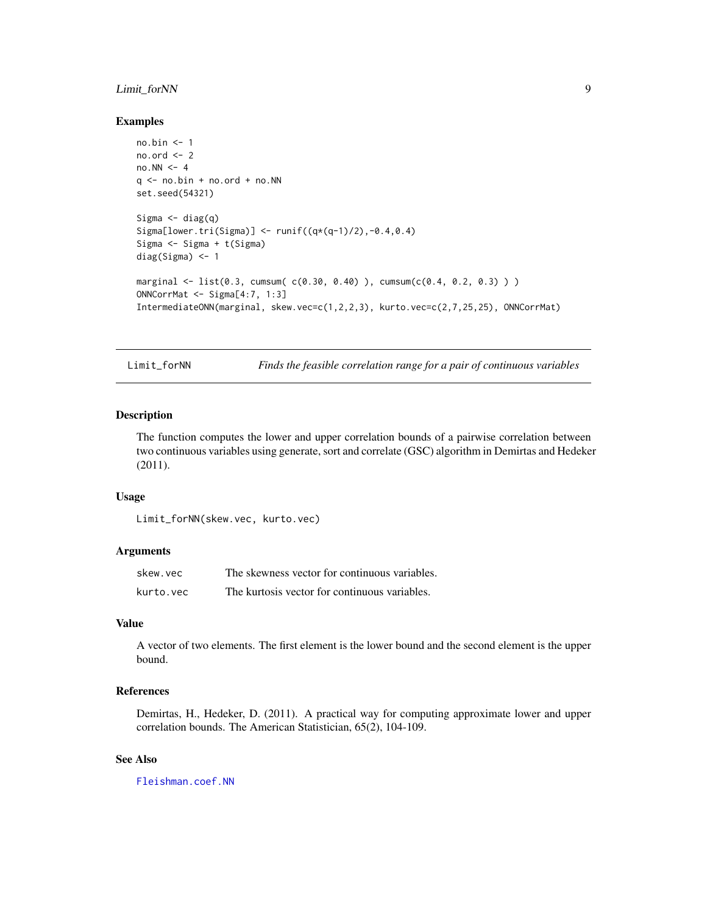# <span id="page-8-0"></span>Limit\_forNN 9

#### Examples

```
no.bin <- 1
no.ord < -2no.NN < -4q \le - no.bin + no.ord + no.NN
set.seed(54321)
Sigma \leftarrow diag(q)
Sigma[lower.tri(Sigma)] <- runif((q*(q-1)/2),-0.4,0.4)
Sigma <- Sigma + t(Sigma)
diag(Sigma) <- 1
marginal <- list(0.3, cumsum( c(0.30, 0.40) ), cumsum(c(0.4, 0.2, 0.3) ) )
ONNCorrMat <- Sigma[4:7, 1:3]
IntermediateONN(marginal, skew.vec=c(1,2,2,3), kurto.vec=c(2,7,25,25), ONNCorrMat)
```
<span id="page-8-1"></span>Limit\_forNN *Finds the feasible correlation range for a pair of continuous variables*

# Description

The function computes the lower and upper correlation bounds of a pairwise correlation between two continuous variables using generate, sort and correlate (GSC) algorithm in Demirtas and Hedeker (2011).

#### Usage

```
Limit_forNN(skew.vec, kurto.vec)
```
#### Arguments

| skew.vec  | The skewness vector for continuous variables. |
|-----------|-----------------------------------------------|
| kurto.vec | The kurtosis vector for continuous variables. |

#### Value

A vector of two elements. The first element is the lower bound and the second element is the upper bound.

# References

Demirtas, H., Hedeker, D. (2011). A practical way for computing approximate lower and upper correlation bounds. The American Statistician, 65(2), 104-109.

# See Also

[Fleishman.coef.NN](#page-3-1)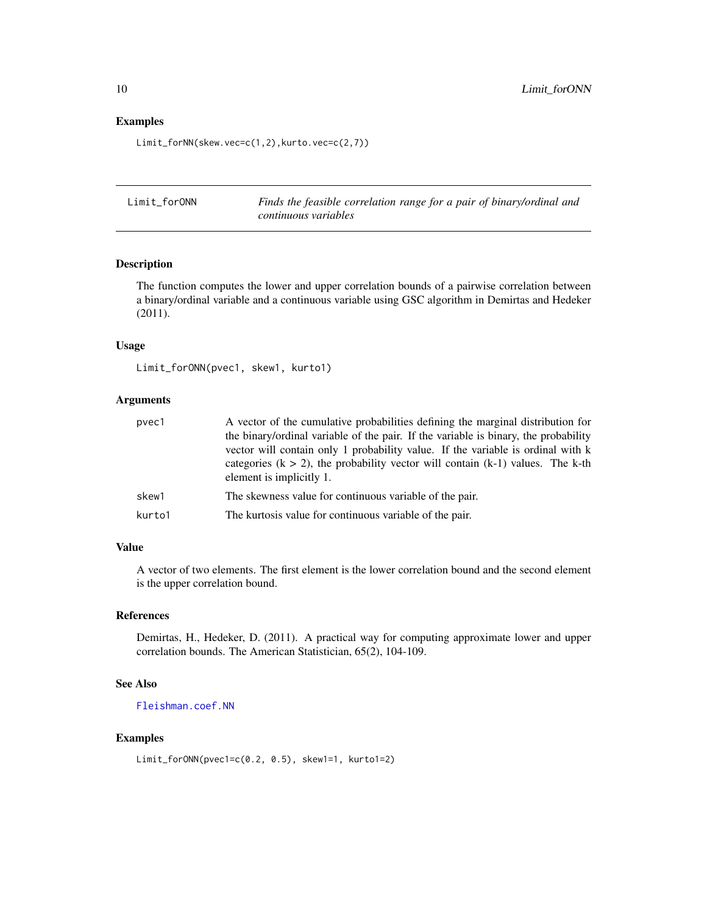#### Examples

Limit\_forNN(skew.vec=c(1,2),kurto.vec=c(2,7))

<span id="page-9-1"></span>Limit\_forONN *Finds the feasible correlation range for a pair of binary/ordinal and continuous variables*

# Description

The function computes the lower and upper correlation bounds of a pairwise correlation between a binary/ordinal variable and a continuous variable using GSC algorithm in Demirtas and Hedeker (2011).

#### Usage

```
Limit_forONN(pvec1, skew1, kurto1)
```
# Arguments

| pvec1  | A vector of the cumulative probabilities defining the marginal distribution for<br>the binary/ordinal variable of the pair. If the variable is binary, the probability<br>vector will contain only 1 probability value. If the variable is ordinal with k |
|--------|-----------------------------------------------------------------------------------------------------------------------------------------------------------------------------------------------------------------------------------------------------------|
|        | categories ( $k > 2$ ), the probability vector will contain ( $k-1$ ) values. The k-th<br>element is implicitly 1.                                                                                                                                        |
| skew1  | The skewness value for continuous variable of the pair.                                                                                                                                                                                                   |
| kurto1 | The kurtosis value for continuous variable of the pair.                                                                                                                                                                                                   |

#### Value

A vector of two elements. The first element is the lower correlation bound and the second element is the upper correlation bound.

# References

Demirtas, H., Hedeker, D. (2011). A practical way for computing approximate lower and upper correlation bounds. The American Statistician, 65(2), 104-109.

# See Also

[Fleishman.coef.NN](#page-3-1)

#### Examples

```
Limit_forONN(pvec1=c(0.2, 0.5), skew1=1, kurto1=2)
```
<span id="page-9-0"></span>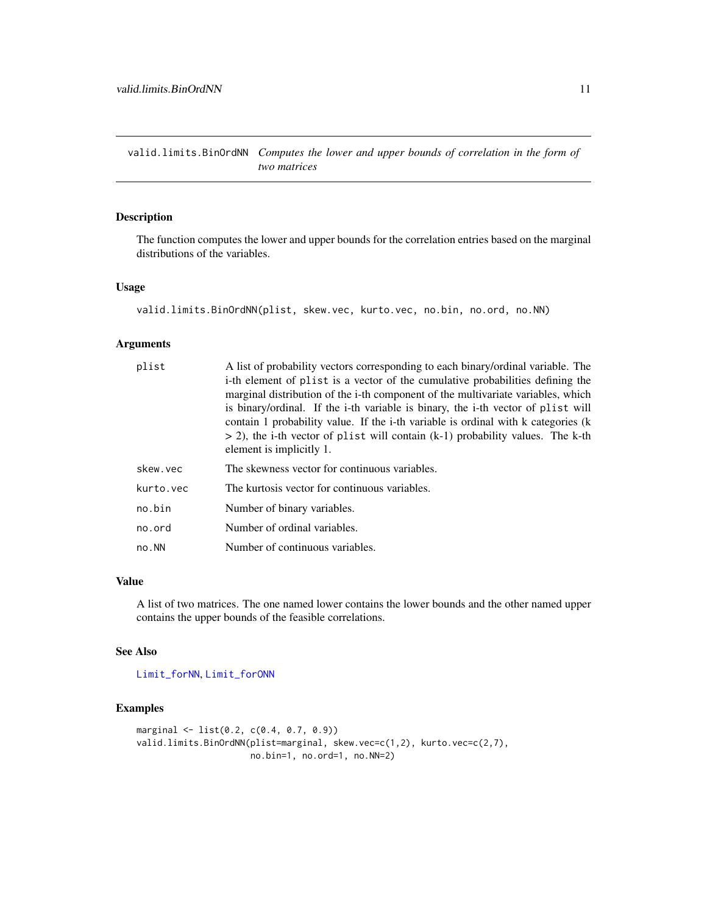<span id="page-10-1"></span><span id="page-10-0"></span>valid.limits.BinOrdNN *Computes the lower and upper bounds of correlation in the form of two matrices*

# Description

The function computes the lower and upper bounds for the correlation entries based on the marginal distributions of the variables.

#### Usage

```
valid.limits.BinOrdNN(plist, skew.vec, kurto.vec, no.bin, no.ord, no.NN)
```
#### Arguments

| plist     | A list of probability vectors corresponding to each binary/ordinal variable. The  |
|-----------|-----------------------------------------------------------------------------------|
|           | i-th element of plist is a vector of the cumulative probabilities defining the    |
|           | marginal distribution of the i-th component of the multivariate variables, which  |
|           | is binary/ordinal. If the i-th variable is binary, the i-th vector of plist will  |
|           | contain 1 probability value. If the i-th variable is ordinal with k categories (k |
|           | $>$ 2), the i-th vector of plist will contain (k-1) probability values. The k-th  |
|           | element is implicitly 1.                                                          |
| skew.vec  | The skewness vector for continuous variables.                                     |
| kurto.vec | The kurtosis vector for continuous variables.                                     |
| no.bin    | Number of binary variables.                                                       |
| no.ord    | Number of ordinal variables.                                                      |
| no.NN     | Number of continuous variables.                                                   |

#### Value

A list of two matrices. The one named lower contains the lower bounds and the other named upper contains the upper bounds of the feasible correlations.

#### See Also

[Limit\\_forNN](#page-8-1), [Limit\\_forONN](#page-9-1)

# Examples

```
marginal <- list(0.2, c(0.4, 0.7, 0.9))
valid.limits.BinOrdNN(plist=marginal, skew.vec=c(1,2), kurto.vec=c(2,7),
                     no.bin=1, no.ord=1, no.NN=2)
```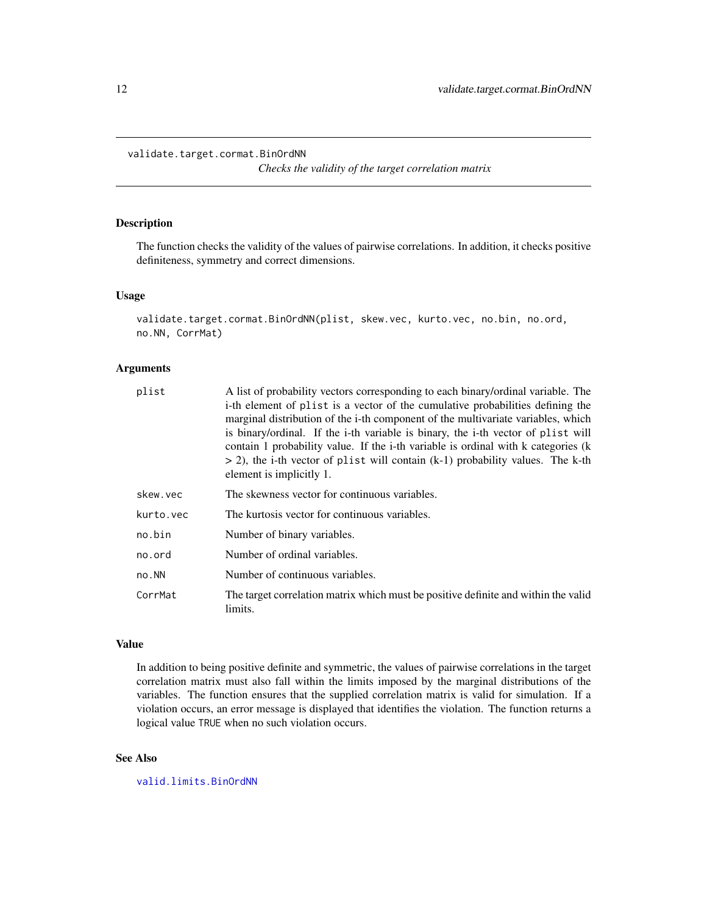```
validate.target.cormat.BinOrdNN
```
*Checks the validity of the target correlation matrix*

# Description

The function checks the validity of the values of pairwise correlations. In addition, it checks positive definiteness, symmetry and correct dimensions.

#### Usage

```
validate.target.cormat.BinOrdNN(plist, skew.vec, kurto.vec, no.bin, no.ord,
no.NN, CorrMat)
```
# Arguments

| plist     | A list of probability vectors corresponding to each binary/ordinal variable. The<br>i-th element of plist is a vector of the cumulative probabilities defining the<br>marginal distribution of the i-th component of the multivariate variables, which<br>is binary/ordinal. If the i-th variable is binary, the i-th vector of plist will<br>contain 1 probability value. If the i-th variable is ordinal with k categories (k<br>$>$ 2), the i-th vector of plist will contain (k-1) probability values. The k-th |
|-----------|---------------------------------------------------------------------------------------------------------------------------------------------------------------------------------------------------------------------------------------------------------------------------------------------------------------------------------------------------------------------------------------------------------------------------------------------------------------------------------------------------------------------|
|           | element is implicitly 1.                                                                                                                                                                                                                                                                                                                                                                                                                                                                                            |
| skew.vec  | The skewness vector for continuous variables.                                                                                                                                                                                                                                                                                                                                                                                                                                                                       |
| kurto.vec | The kurtosis vector for continuous variables.                                                                                                                                                                                                                                                                                                                                                                                                                                                                       |
| no.bin    | Number of binary variables.                                                                                                                                                                                                                                                                                                                                                                                                                                                                                         |
| no.ord    | Number of ordinal variables.                                                                                                                                                                                                                                                                                                                                                                                                                                                                                        |
| no.NN     | Number of continuous variables.                                                                                                                                                                                                                                                                                                                                                                                                                                                                                     |
| CorrMat   | The target correlation matrix which must be positive definite and within the valid<br>limits.                                                                                                                                                                                                                                                                                                                                                                                                                       |

# Value

In addition to being positive definite and symmetric, the values of pairwise correlations in the target correlation matrix must also fall within the limits imposed by the marginal distributions of the variables. The function ensures that the supplied correlation matrix is valid for simulation. If a violation occurs, an error message is displayed that identifies the violation. The function returns a logical value TRUE when no such violation occurs.

# See Also

[valid.limits.BinOrdNN](#page-10-1)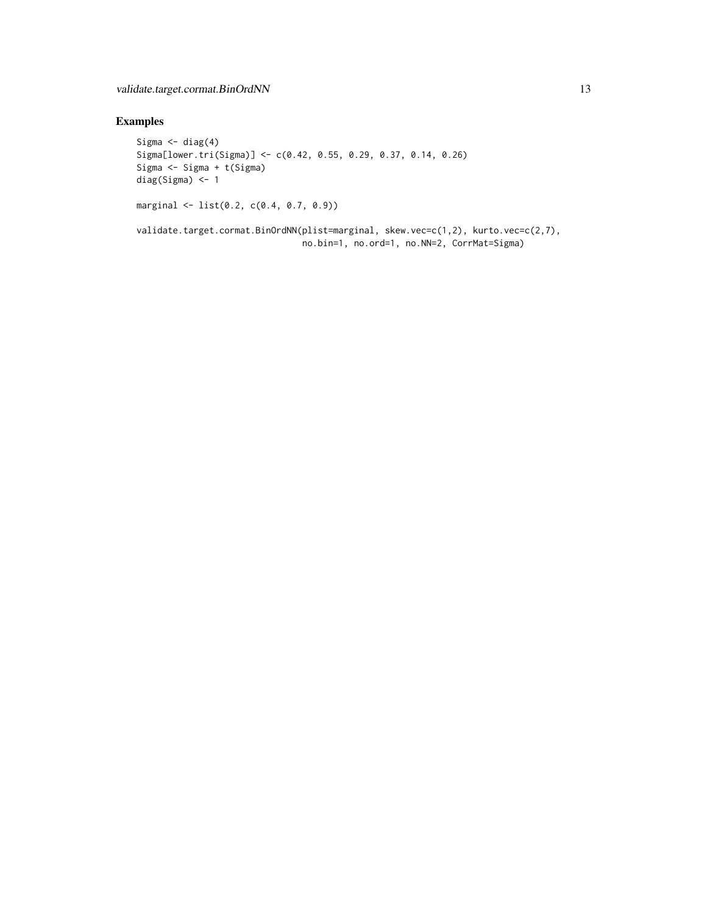# Examples

```
Sigma \leftarrow diag(4)
Sigma[lower.tri(Sigma)] <- c(0.42, 0.55, 0.29, 0.37, 0.14, 0.26)
Sigma <- Sigma + t(Sigma)
diag(Sigma) <- 1
marginal <- list(0.2, c(0.4, 0.7, 0.9))
```
validate.target.cormat.BinOrdNN(plist=marginal, skew.vec=c(1,2), kurto.vec=c(2,7), no.bin=1, no.ord=1, no.NN=2, CorrMat=Sigma)